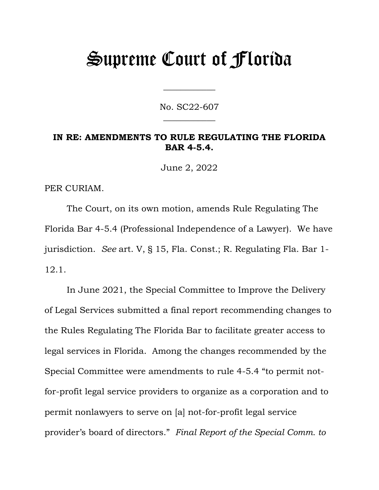# Supreme Court of Florida

No. SC22-607  $\overline{\phantom{a}}$ 

 $\overline{\phantom{a}}$ 

#### **IN RE: AMENDMENTS TO RULE REGULATING THE FLORIDA BAR 4-5.4.**

June 2, 2022

PER CURIAM.

The Court, on its own motion, amends Rule Regulating The Florida Bar 4-5.4 (Professional Independence of a Lawyer). We have jurisdiction. *See* art. V, § 15, Fla. Const.; R. Regulating Fla. Bar 1- 12.1.

In June 2021, the Special Committee to Improve the Delivery of Legal Services submitted a final report recommending changes to the Rules Regulating The Florida Bar to facilitate greater access to legal services in Florida. Among the changes recommended by the Special Committee were amendments to rule 4-5.4 "to permit notfor-profit legal service providers to organize as a corporation and to permit nonlawyers to serve on [a] not-for-profit legal service provider's board of directors." *Final Report of the Special Comm. to*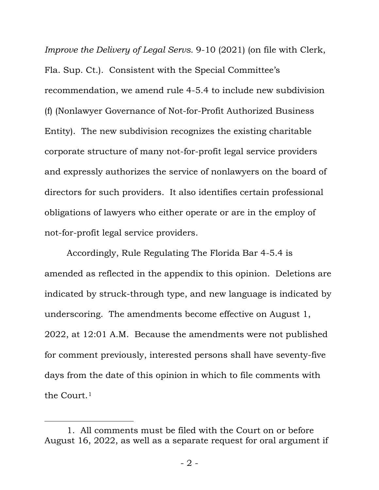*Improve the Delivery of Legal Servs.* 9-10 (2021) (on file with Clerk, Fla. Sup. Ct.). Consistent with the Special Committee's recommendation, we amend rule 4-5.4 to include new subdivision (f) (Nonlawyer Governance of Not-for-Profit Authorized Business Entity). The new subdivision recognizes the existing charitable corporate structure of many not-for-profit legal service providers and expressly authorizes the service of nonlawyers on the board of directors for such providers. It also identifies certain professional obligations of lawyers who either operate or are in the employ of not-for-profit legal service providers.

Accordingly, Rule Regulating The Florida Bar 4-5.4 is amended as reflected in the appendix to this opinion. Deletions are indicated by struck-through type, and new language is indicated by underscoring. The amendments become effective on August 1, 2022, at 12:01 A.M. Because the amendments were not published for comment previously, interested persons shall have seventy-five days from the date of this opinion in which to file comments with the Court.[1](#page-1-0)

<span id="page-1-0"></span><sup>1.</sup> All comments must be filed with the Court on or before August 16, 2022, as well as a separate request for oral argument if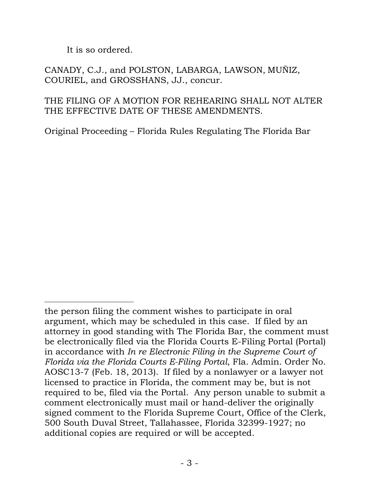It is so ordered.

CANADY, C.J., and POLSTON, LABARGA, LAWSON, MUÑIZ, COURIEL, and GROSSHANS, JJ., concur.

## THE FILING OF A MOTION FOR REHEARING SHALL NOT ALTER THE EFFECTIVE DATE OF THESE AMENDMENTS.

Original Proceeding – Florida Rules Regulating The Florida Bar

the person filing the comment wishes to participate in oral argument, which may be scheduled in this case. If filed by an attorney in good standing with The Florida Bar, the comment must be electronically filed via the Florida Courts E-Filing Portal (Portal) in accordance with *In re Electronic Filing in the Supreme Court of Florida via the Florida Courts E-Filing Portal*, Fla. Admin. Order No. AOSC13-7 (Feb. 18, 2013). If filed by a nonlawyer or a lawyer not licensed to practice in Florida, the comment may be, but is not required to be, filed via the Portal. Any person unable to submit a comment electronically must mail or hand-deliver the originally signed comment to the Florida Supreme Court, Office of the Clerk, 500 South Duval Street, Tallahassee, Florida 32399-1927; no additional copies are required or will be accepted.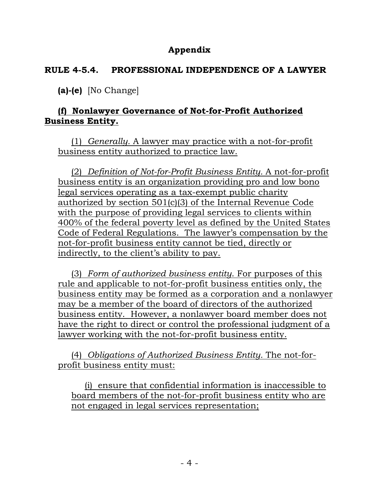# **Appendix**

## **RULE 4-5.4. PROFESSIONAL INDEPENDENCE OF A LAWYER**

**(a)-(e)** [No Change]

# **(f) Nonlawyer Governance of Not-for-Profit Authorized Business Entity.**

(1) *Generally.* A lawyer may practice with a not-for-profit business entity authorized to practice law.

(2) *Definition of Not-for-Profit Business Entity.* A not-for-profit business entity is an organization providing pro and low bono legal services operating as a tax-exempt public charity authorized by section 501(c)(3) of the Internal Revenue Code with the purpose of providing legal services to clients within 400% of the federal poverty level as defined by the United States Code of Federal Regulations. The lawyer's compensation by the not-for-profit business entity cannot be tied, directly or indirectly, to the client's ability to pay.

(3) *Form of authorized business entity*. For purposes of this rule and applicable to not-for-profit business entities only, the business entity may be formed as a corporation and a nonlawyer may be a member of the board of directors of the authorized business entity. However, a nonlawyer board member does not have the right to direct or control the professional judgment of a lawyer working with the not-for-profit business entity.

(4) *Obligations of Authorized Business Entity.* The not-forprofit business entity must:

(i) ensure that confidential information is inaccessible to board members of the not-for-profit business entity who are not engaged in legal services representation;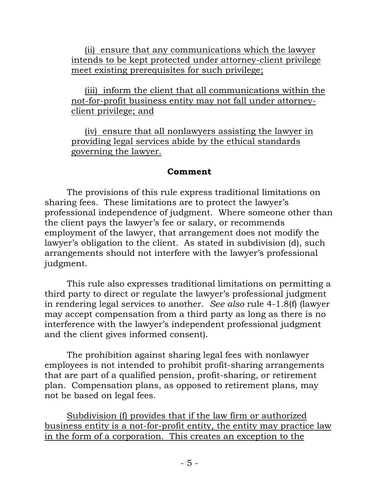(ii) ensure that any communications which the lawyer intends to be kept protected under attorney-client privilege meet existing prerequisites for such privilege;

(iii) inform the client that all communications within the not-for-profit business entity may not fall under attorneyclient privilege; and

(iv) ensure that all nonlawyers assisting the lawyer in providing legal services abide by the ethical standards governing the lawyer.

#### **Comment**

The provisions of this rule express traditional limitations on sharing fees. These limitations are to protect the lawyer's professional independence of judgment. Where someone other than the client pays the lawyer's fee or salary, or recommends employment of the lawyer, that arrangement does not modify the lawyer's obligation to the client. As stated in subdivision (d), such arrangements should not interfere with the lawyer's professional judgment.

This rule also expresses traditional limitations on permitting a third party to direct or regulate the lawyer's professional judgment in rendering legal services to another. *See also* rule 4-1.8(f) (lawyer may accept compensation from a third party as long as there is no interference with the lawyer's independent professional judgment and the client gives informed consent).

The prohibition against sharing legal fees with nonlawyer employees is not intended to prohibit profit-sharing arrangements that are part of a qualified pension, profit-sharing, or retirement plan. Compensation plans, as opposed to retirement plans, may not be based on legal fees.

Subdivision (f) provides that if the law firm or authorized business entity is a not-for-profit entity, the entity may practice law in the form of a corporation. This creates an exception to the